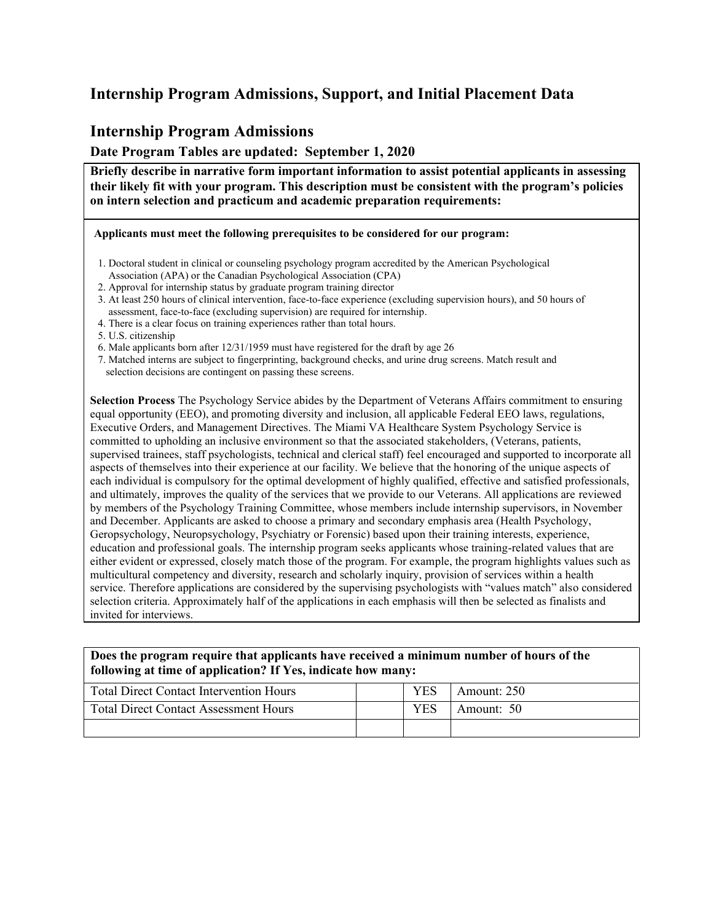### **Internship Program Admissions, Support, and Initial Placement Data**

#### **Internship Program Admissions**

**Date Program Tables are updated: September 1, 2020**

**Briefly describe in narrative form important information to assist potential applicants in assessing their likely fit with your program. This description must be consistent with the program's policies on intern selection and practicum and academic preparation requirements:**

**Applicants must meet the following prerequisites to be considered for our program:**

- 1. 1. Doctoral student in clinical or counseling psychology program accredited by the American Psychological Association (APA) or the Canadian Psychological Association (CPA)
- 3. 2. Approval for internship status by graduate program training director
- 4. 3. At least 250 hours of clinical intervention, face-to-face experience (excluding supervision hours), and 50 hours of assessment, face-to-face (excluding supervision) are required for internship.
- 4. There is a clear focus on training experiences rather than total hours.
- 7. 5. U.S. citizenship
- 8. 6. Male applicants born after 12/31/1959 must have registered for the draft by age 26
- 9. 7. Matched interns are subject to fingerprinting, background checks, and urine drug screens. Match result and selection decisions are contingent on passing these screens.

**Selection Process** The Psychology Service abides by the Department of Veterans Affairs commitment to ensuring equal opportunity (EEO), and promoting diversity and inclusion, all applicable Federal EEO laws, regulations, Executive Orders, and Management Directives. The Miami VA Healthcare System Psychology Service is committed to upholding an inclusive environment so that the associated stakeholders, (Veterans, patients, supervised trainees, staff psychologists, technical and clerical staff) feel encouraged and supported to incorporate all aspects of themselves into their experience at our facility. We believe that the honoring of the unique aspects of each individual is compulsory for the optimal development of highly qualified, effective and satisfied professionals, and ultimately, improves the quality of the services that we provide to our Veterans. All applications are reviewed by members of the Psychology Training Committee, whose members include internship supervisors, in November and December. Applicants are asked to choose a primary and secondary emphasis area (Health Psychology, Geropsychology, Neuropsychology, Psychiatry or Forensic) based upon their training interests, experience, education and professional goals. The internship program seeks applicants whose training-related values that are either evident or expressed, closely match those of the program. For example, the program highlights values such as multicultural competency and diversity, research and scholarly inquiry, provision of services within a health service. Therefore applications are considered by the supervising psychologists with "values match" also considered selection criteria. Approximately half of the applications in each emphasis will then be selected as finalists and invited for interviews.

#### **Does the program require that applicants have received a minimum number of hours of the following at time of application? If Yes, indicate how many:**

| <b>Total Direct Contact Intervention Hours</b> | YES | Amount: 250 |
|------------------------------------------------|-----|-------------|
| <b>Total Direct Contact Assessment Hours</b>   | YES | Amount: 50  |
|                                                |     |             |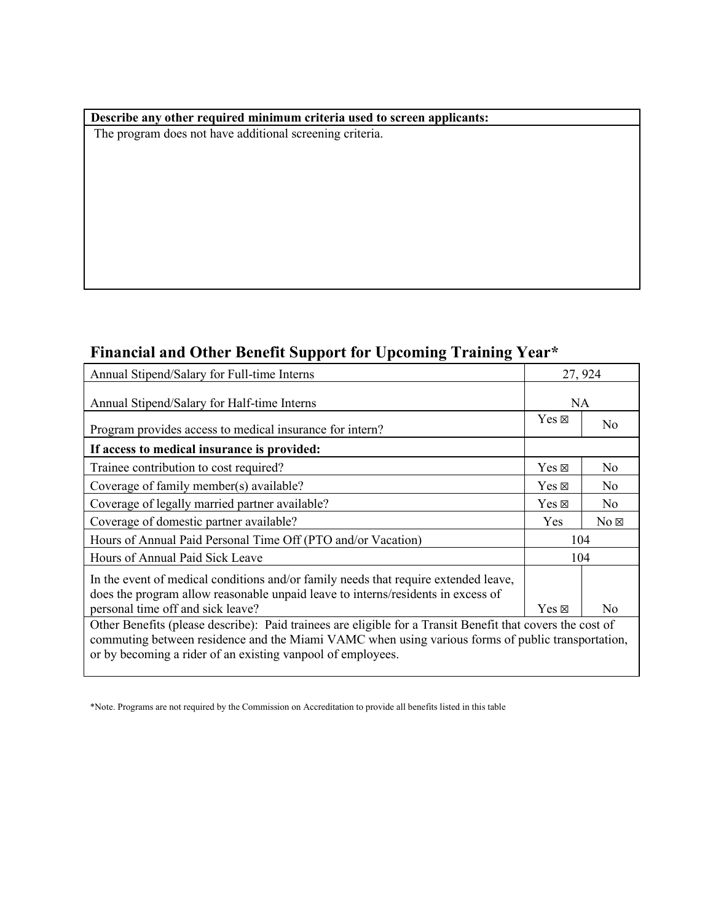#### **Describe any other required minimum criteria used to screen applicants:**

The program does not have additional screening criteria.

# **Financial and Other Benefit Support for Upcoming Training Year\***

| Annual Stipend/Salary for Full-time Interns                                                                                                                                                                                                                                    |                 | 27, 924        |  |  |
|--------------------------------------------------------------------------------------------------------------------------------------------------------------------------------------------------------------------------------------------------------------------------------|-----------------|----------------|--|--|
| Annual Stipend/Salary for Half-time Interns                                                                                                                                                                                                                                    |                 | NA             |  |  |
| Program provides access to medical insurance for intern?                                                                                                                                                                                                                       | $Yes \boxtimes$ | N <sub>0</sub> |  |  |
| If access to medical insurance is provided:                                                                                                                                                                                                                                    |                 |                |  |  |
| Trainee contribution to cost required?                                                                                                                                                                                                                                         | $Yes \boxtimes$ | N <sub>0</sub> |  |  |
| Coverage of family member(s) available?                                                                                                                                                                                                                                        | $Yes \boxtimes$ | No.            |  |  |
| Coverage of legally married partner available?                                                                                                                                                                                                                                 | $Yes \boxtimes$ | N <sub>o</sub> |  |  |
| Coverage of domestic partner available?                                                                                                                                                                                                                                        | <b>Yes</b>      | $No \boxtimes$ |  |  |
| Hours of Annual Paid Personal Time Off (PTO and/or Vacation)                                                                                                                                                                                                                   | 104             |                |  |  |
| Hours of Annual Paid Sick Leave                                                                                                                                                                                                                                                | 104             |                |  |  |
| In the event of medical conditions and/or family needs that require extended leave,<br>does the program allow reasonable unpaid leave to interns/residents in excess of                                                                                                        |                 |                |  |  |
| personal time off and sick leave?                                                                                                                                                                                                                                              | $Yes \boxtimes$ | $\rm No$       |  |  |
| Other Benefits (please describe): Paid trainees are eligible for a Transit Benefit that covers the cost of<br>commuting between residence and the Miami VAMC when using various forms of public transportation,<br>or by becoming a rider of an existing vanpool of employees. |                 |                |  |  |

<sup>\*</sup>Note. Programs are not required by the Commission on Accreditation to provide all benefits listed in this table